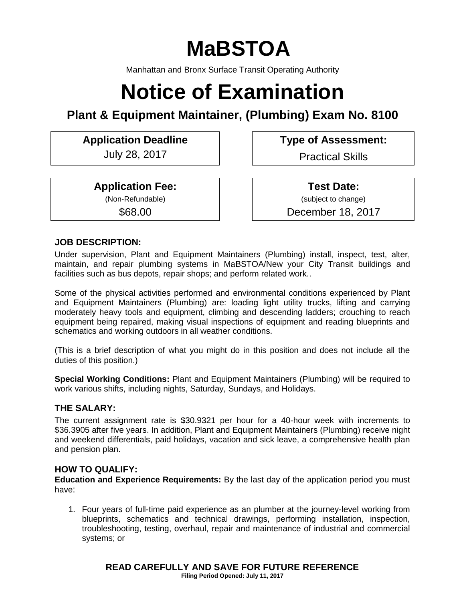# **MaBSTOA**

Manhattan and Bronx Surface Transit Operating Authority

# **Notice of Examination**

# **Plant & Equipment Maintainer, (Plumbing) Exam No. 8100**

# **Application Deadline Type of Assessment:**

July 28, 2017 Practical Skills

**Application Fee:**

(Non-Refundable)

\$68.00

**Test Date:** (subject to change) December 18, 2017

# **JOB DESCRIPTION:**

Under supervision, Plant and Equipment Maintainers (Plumbing) install, inspect, test, alter, maintain, and repair plumbing systems in MaBSTOA/New your City Transit buildings and facilities such as bus depots, repair shops; and perform related work..

Some of the physical activities performed and environmental conditions experienced by Plant and Equipment Maintainers (Plumbing) are: loading light utility trucks, lifting and carrying moderately heavy tools and equipment, climbing and descending ladders; crouching to reach equipment being repaired, making visual inspections of equipment and reading blueprints and schematics and working outdoors in all weather conditions.

(This is a brief description of what you might do in this position and does not include all the duties of this position.)

**Special Working Conditions:** Plant and Equipment Maintainers (Plumbing) will be required to work various shifts, including nights, Saturday, Sundays, and Holidays.

#### **THE SALARY:**

The current assignment rate is \$30.9321 per hour for a 40-hour week with increments to \$36.3905 after five years. In addition, Plant and Equipment Maintainers (Plumbing) receive night and weekend differentials, paid holidays, vacation and sick leave, a comprehensive health plan and pension plan.

# **HOW TO QUALIFY:**

**Education and Experience Requirements:** By the last day of the application period you must have:

1. Four years of full-time paid experience as an plumber at the journey-level working from blueprints, schematics and technical drawings, performing installation, inspection, troubleshooting, testing, overhaul, repair and maintenance of industrial and commercial systems; or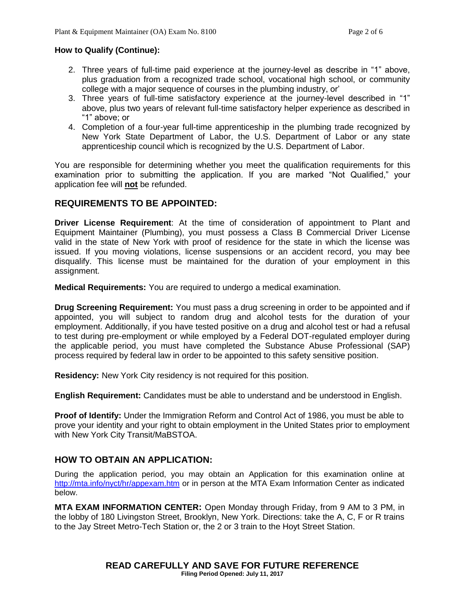#### **How to Qualify (Continue):**

- 2. Three years of full-time paid experience at the journey-level as describe in "1" above, plus graduation from a recognized trade school, vocational high school, or community college with a major sequence of courses in the plumbing industry, or'
- 3. Three years of full-time satisfactory experience at the journey-level described in "1" above, plus two years of relevant full-time satisfactory helper experience as described in "1" above; or
- 4. Completion of a four-year full-time apprenticeship in the plumbing trade recognized by New York State Department of Labor, the U.S. Department of Labor or any state apprenticeship council which is recognized by the U.S. Department of Labor.

You are responsible for determining whether you meet the qualification requirements for this examination prior to submitting the application. If you are marked "Not Qualified," your application fee will **not** be refunded.

#### **REQUIREMENTS TO BE APPOINTED:**

**Driver License Requirement**: At the time of consideration of appointment to Plant and Equipment Maintainer (Plumbing), you must possess a Class B Commercial Driver License valid in the state of New York with proof of residence for the state in which the license was issued. If you moving violations, license suspensions or an accident record, you may bee disqualify. This license must be maintained for the duration of your employment in this assignment.

**Medical Requirements:** You are required to undergo a medical examination.

**Drug Screening Requirement:** You must pass a drug screening in order to be appointed and if appointed, you will subject to random drug and alcohol tests for the duration of your employment. Additionally, if you have tested positive on a drug and alcohol test or had a refusal to test during pre-employment or while employed by a Federal DOT-regulated employer during the applicable period, you must have completed the Substance Abuse Professional (SAP) process required by federal law in order to be appointed to this safety sensitive position.

**Residency:** New York City residency is not required for this position.

**English Requirement:** Candidates must be able to understand and be understood in English.

**Proof of Identify:** Under the Immigration Reform and Control Act of 1986, you must be able to prove your identity and your right to obtain employment in the United States prior to employment with New York City Transit/MaBSTOA.

# **HOW TO OBTAIN AN APPLICATION:**

During the application period, you may obtain an Application for this examination online at <http://mta.info/nyct/hr/appexam.htm> or in person at the MTA Exam Information Center as indicated below.

**MTA EXAM INFORMATION CENTER:** Open Monday through Friday, from 9 AM to 3 PM, in the lobby of 180 Livingston Street, Brooklyn, New York. Directions: take the A, C, F or R trains to the Jay Street Metro-Tech Station or, the 2 or 3 train to the Hoyt Street Station.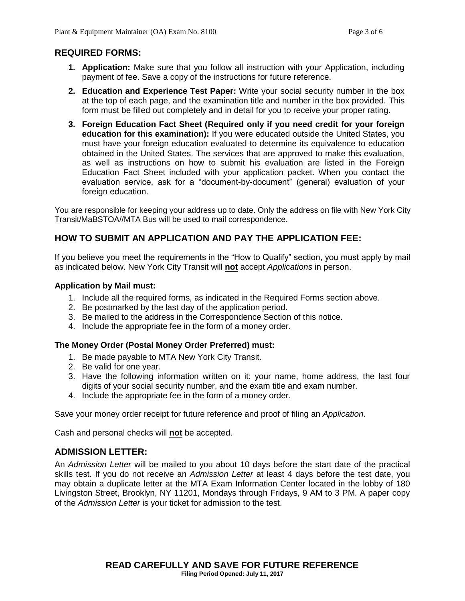#### **REQUIRED FORMS:**

- **1. Application:** Make sure that you follow all instruction with your Application, including payment of fee. Save a copy of the instructions for future reference.
- **2. Education and Experience Test Paper:** Write your social security number in the box at the top of each page, and the examination title and number in the box provided. This form must be filled out completely and in detail for you to receive your proper rating.
- **3. Foreign Education Fact Sheet (Required only if you need credit for your foreign education for this examination):** If you were educated outside the United States, you must have your foreign education evaluated to determine its equivalence to education obtained in the United States. The services that are approved to make this evaluation, as well as instructions on how to submit his evaluation are listed in the Foreign Education Fact Sheet included with your application packet. When you contact the evaluation service, ask for a "document-by-document" (general) evaluation of your foreign education.

You are responsible for keeping your address up to date. Only the address on file with New York City Transit/MaBSTOA//MTA Bus will be used to mail correspondence.

# **HOW TO SUBMIT AN APPLICATION AND PAY THE APPLICATION FEE:**

If you believe you meet the requirements in the "How to Qualify" section, you must apply by mail as indicated below. New York City Transit will **not** accept *Applications* in person.

#### **Application by Mail must:**

- 1. Include all the required forms, as indicated in the Required Forms section above.
- 2. Be postmarked by the last day of the application period.
- 3. Be mailed to the address in the Correspondence Section of this notice.
- 4. Include the appropriate fee in the form of a money order.

#### **The Money Order (Postal Money Order Preferred) must:**

- 1. Be made payable to MTA New York City Transit.
- 2. Be valid for one year.
- 3. Have the following information written on it: your name, home address, the last four digits of your social security number, and the exam title and exam number.
- 4. Include the appropriate fee in the form of a money order.

Save your money order receipt for future reference and proof of filing an *Application*.

Cash and personal checks will **not** be accepted.

# **ADMISSION LETTER:**

An *Admission Letter* will be mailed to you about 10 days before the start date of the practical skills test. If you do not receive an *Admission Letter* at least 4 days before the test date, you may obtain a duplicate letter at the MTA Exam Information Center located in the lobby of 180 Livingston Street, Brooklyn, NY 11201, Mondays through Fridays, 9 AM to 3 PM. A paper copy of the *Admission Letter* is your ticket for admission to the test.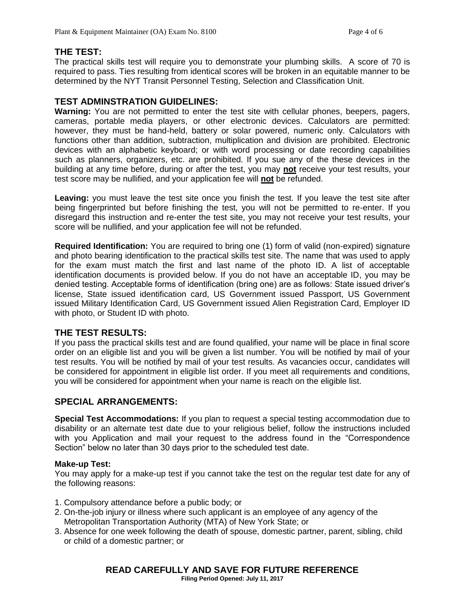# **THE TEST:**

The practical skills test will require you to demonstrate your plumbing skills. A score of 70 is required to pass. Ties resulting from identical scores will be broken in an equitable manner to be determined by the NYT Transit Personnel Testing, Selection and Classification Unit.

#### **TEST ADMINSTRATION GUIDELINES:**

**Warning:** You are not permitted to enter the test site with cellular phones, beepers, pagers, cameras, portable media players, or other electronic devices. Calculators are permitted: however, they must be hand-held, battery or solar powered, numeric only. Calculators with functions other than addition, subtraction, multiplication and division are prohibited. Electronic devices with an alphabetic keyboard; or with word processing or date recording capabilities such as planners, organizers, etc. are prohibited. If you sue any of the these devices in the building at any time before, during or after the test, you may **not** receive your test results, your test score may be nullified, and your application fee will **not** be refunded.

**Leaving:** you must leave the test site once you finish the test. If you leave the test site after being fingerprinted but before finishing the test, you will not be permitted to re-enter. If you disregard this instruction and re-enter the test site, you may not receive your test results, your score will be nullified, and your application fee will not be refunded.

**Required Identification:** You are required to bring one (1) form of valid (non-expired) signature and photo bearing identification to the practical skills test site. The name that was used to apply for the exam must match the first and last name of the photo ID. A list of acceptable identification documents is provided below. If you do not have an acceptable ID, you may be denied testing. Acceptable forms of identification (bring one) are as follows: State issued driver's license, State issued identification card, US Government issued Passport, US Government issued Military Identification Card, US Government issued Alien Registration Card, Employer ID with photo, or Student ID with photo.

#### **THE TEST RESULTS:**

If you pass the practical skills test and are found qualified, your name will be place in final score order on an eligible list and you will be given a list number. You will be notified by mail of your test results. You will be notified by mail of your test results. As vacancies occur, candidates will be considered for appointment in eligible list order. If you meet all requirements and conditions, you will be considered for appointment when your name is reach on the eligible list.

#### **SPECIAL ARRANGEMENTS:**

**Special Test Accommodations:** If you plan to request a special testing accommodation due to disability or an alternate test date due to your religious belief, follow the instructions included with you Application and mail your request to the address found in the "Correspondence Section" below no later than 30 days prior to the scheduled test date.

#### **Make-up Test:**

You may apply for a make-up test if you cannot take the test on the regular test date for any of the following reasons:

- 1. Compulsory attendance before a public body; or
- 2. On-the-job injury or illness where such applicant is an employee of any agency of the Metropolitan Transportation Authority (MTA) of New York State; or
- 3. Absence for one week following the death of spouse, domestic partner, parent, sibling, child or child of a domestic partner; or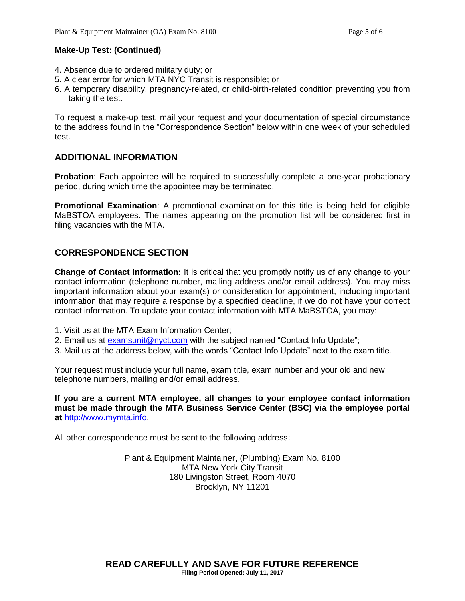#### **Make-Up Test: (Continued)**

- 4. Absence due to ordered military duty; or
- 5. A clear error for which MTA NYC Transit is responsible; or
- 6. A temporary disability, pregnancy-related, or child-birth-related condition preventing you from taking the test.

To request a make-up test, mail your request and your documentation of special circumstance to the address found in the "Correspondence Section" below within one week of your scheduled test.

#### **ADDITIONAL INFORMATION**

**Probation**: Each appointee will be required to successfully complete a one-year probationary period, during which time the appointee may be terminated.

**Promotional Examination**: A promotional examination for this title is being held for eligible MaBSTOA employees. The names appearing on the promotion list will be considered first in filing vacancies with the MTA.

# **CORRESPONDENCE SECTION**

**Change of Contact Information:** It is critical that you promptly notify us of any change to your contact information (telephone number, mailing address and/or email address). You may miss important information about your exam(s) or consideration for appointment, including important information that may require a response by a specified deadline, if we do not have your correct contact information. To update your contact information with MTA MaBSTOA, you may:

- 1. Visit us at the MTA Exam Information Center;
- 2. Email us at [examsunit@nyct.com](mailto:examsunit@nyct.com) with the subject named "Contact Info Update";
- 3. Mail us at the address below, with the words "Contact Info Update" next to the exam title.

Your request must include your full name, exam title, exam number and your old and new telephone numbers, mailing and/or email address.

**If you are a current MTA employee, all changes to your employee contact information must be made through the MTA Business Service Center (BSC) via the employee portal at** [http://www.mymta.info.](http://www.mymta.info/)

All other correspondence must be sent to the following address:

Plant & Equipment Maintainer, (Plumbing) Exam No. 8100 MTA New York City Transit 180 Livingston Street, Room 4070 Brooklyn, NY 11201